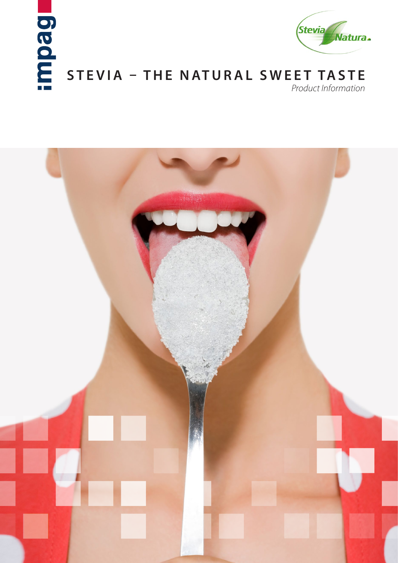



# **STEVIA – THE NATURAL SWEET TASTE**

*Product Information*

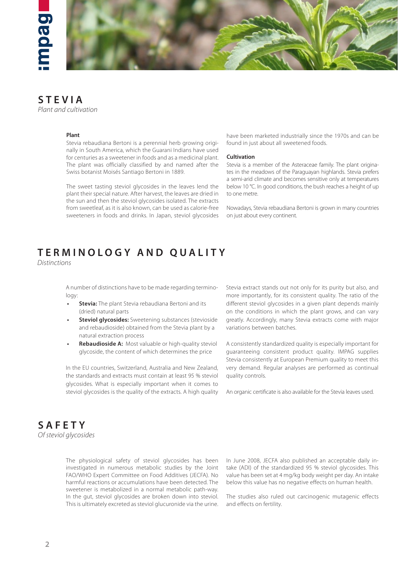

## **STEVIA**

*Plant and cultivation*

#### **Plant**

Stevia rebaudiana Bertoni is a perennial herb growing originally in South America, which the Guarani Indians have used for centuries as a sweetener in foods and as a medicinal plant. The plant was officially classified by and named after the Swiss botanist Moisés Santiago Bertoni in 1889.

The sweet tasting steviol glycosides in the leaves lend the plant their special nature. After harvest, the leaves are dried in the sun and then the steviol glycosides isolated. The extracts from sweetleaf, as it is also known, can be used as calorie-free sweeteners in foods and drinks. In Japan, steviol glycosides have been marketed industrially since the 1970s and can be found in just about all sweetened foods.

#### **Cultivation**

Stevia is a member of the Asteraceae family. The plant originates in the meadows of the Paraguayan highlands. Stevia prefers a semi-arid climate and becomes sensitive only at temperatures below 10 °C. In good conditions, the bush reaches a height of up to one metre.

Nowadays, Stevia rebaudiana Bertoni is grown in many countries on just about every continent.

### **TERMINOLOGY AND QUALITY**

*Distinctions*

A number of distinctions have to be made regarding terminology:

- **Stevia:** The plant Stevia rebaudiana Bertoni and its (dried) natural parts
- **Steviol glycosides:** Sweetening substances (stevioside and rebaudioside) obtained from the Stevia plant by a natural extraction process
- **Rebaudioside A:** Most valuable or high-quality steviol glycoside, the content of which determines the price

In the EU countries, Switzerland, Australia and New Zealand, the standards and extracts must contain at least 95 % steviol glycosides. What is especially important when it comes to steviol glycosides is the quality of the extracts. A high quality Stevia extract stands out not only for its purity but also, and more importantly, for its consistent quality. The ratio of the different steviol glycosides in a given plant depends mainly on the conditions in which the plant grows, and can vary greatly. Accordingly, many Stevia extracts come with major variations between batches.

A consistently standardized quality is especially important for guaranteeing consistent product quality. IMPAG supplies Stevia consistently at European Premium quality to meet this very demand. Regular analyses are performed as continual quality controls.

An organic certificate is also available for the Stevia leaves used.



The physiological safety of steviol glycosides has been investigated in numerous metabolic studies by the Joint FAO/WHO Expert Committee on Food Additives (JECFA). No harmful reactions or accumulations have been detected. The sweetener is metabolized in a normal metabolic path-way. In the gut, steviol glycosides are broken down into steviol. This is ultimately excreted as steviol glucuronide via the urine. In June 2008, JECFA also published an acceptable daily intake (ADI) of the standardized 95 % steviol glycosides. This value has been set at 4 mg/kg body weight per day. An intake below this value has no negative effects on human health.

The studies also ruled out carcinogenic mutagenic effects and effects on fertility.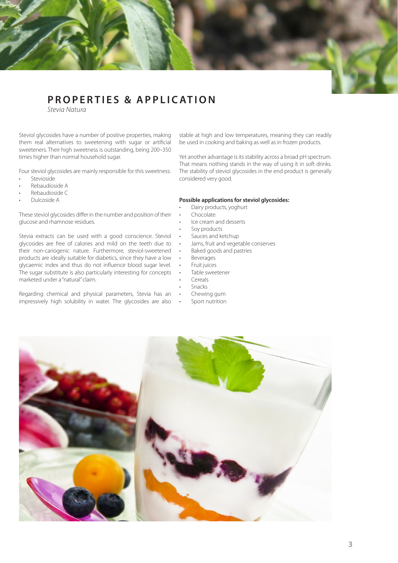### **PROPERTIES & APPLICATION**

*Stevia Natura*

Steviol glycosides have a number of positive properties, making them real alternatives to sweetening with sugar or artificial sweeteners. Their high sweetness is outstanding, being 200–350 times higher than normal household sugar.

Four steviol glycosides are mainly responsible for this sweetness:

- Stevioside
- Rebaudioside A
- Rebaudioside C
- Dulcoside A

These steviol glycosides differ in the number and position of their glucose and rhamnose residues.

Stevia extracts can be used with a good conscience. Steviol glycosides are free of calories and mild on the teeth due to their non-cariogenic nature. Furthermore, steviol-sweetened products are ideally suitable for diabetics, since they have a low glycaemic index and thus do not influence blood sugar level. The sugar substitute is also particularly interesting for concepts marketed under a "natural" claim.

Regarding chemical and physical parameters, Stevia has an impressively high solubility in water. The glycosides are also

stable at high and low temperatures, meaning they can readily be used in cooking and baking as well as in frozen products.

Yet another advantage is its stability across a broad pH spectrum. That means nothing stands in the way of using it in soft drinks. The stability of steviol glycosides in the end product is generally considered very good.

#### **Possible applications for steviol glycosides:**

- Dairy products, yoghurt
- Chocolate
- Ice cream and desserts
- Soy products
- Sauces and ketchup
	- Jams, fruit and vegetable conserves
- Baked goods and pastries
- **Beverages**
- Fruit juices
- Table sweetener
- **Cereals**
- **Snacks**
- Chewing gum
- Sport nutrition

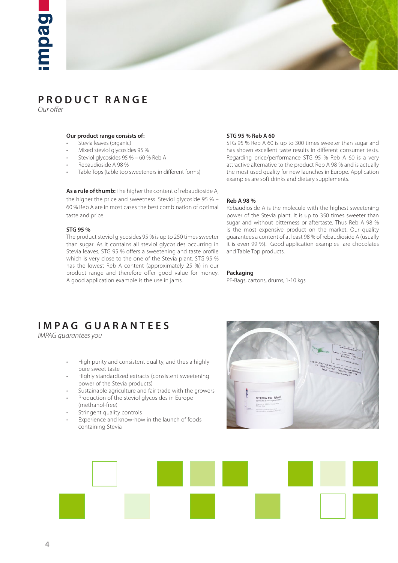



### **PRODUCT RANGE**

*Our offer*

#### **Our product range consists of:**

- Stevia leaves (organic)
- Mixed steviol glycosides 95 %
- Steviol glycosides 95 % 60 % Reb A
- Rebaudioside A 98 %
- Table Tops (table top sweeteners in different forms)

**As a rule of thumb:** The higher the content of rebaudioside A, the higher the price and sweetness. Steviol glycoside 95 % – 60 % Reb A are in most cases the best combination of optimal taste and price.

#### **STG 95 %**

The product steviol glycosides 95 % is up to 250 times sweeter than sugar. As it contains all steviol glycosides occurring in Stevia leaves, STG 95 % offers a sweetening and taste profile which is very close to the one of the Stevia plant. STG 95 % has the lowest Reb A content (approximately 25 %) in our product range and therefore offer good value for money. A good application example is the use in jams.

#### **STG 95 % Reb A 60**

STG 95 % Reb A 60 is up to 300 times sweeter than sugar and has shown excellent taste results in different consumer tests. Regarding price/performance STG 95 % Reb A 60 is a very attractive alternative to the product Reb A 98 % and is actually the most used quality for new launches in Europe. Application examples are soft drinks and dietary supplements.

#### **Reb A 98 %**

Rebaudioside A is the molecule with the highest sweetening power of the Stevia plant. It is up to 350 times sweeter than sugar and without bitterness or aftertaste. Thus Reb A 98 % is the most expensive product on the market. Our quality guarantees a content of at least 98 % of rebaudioside A (usually it is even 99 %). Good application examples are chocolates and Table Top products.

#### **Packaging**

PE-Bags, cartons, drums, 1-10 kgs

### **IMPAG GUARANTEES**

*IMPAG guarantees you*

- High purity and consistent quality, and thus a highly pure sweet taste
- Highly standardized extracts (consistent sweetening power of the Stevia products)
- Sustainable agriculture and fair trade with the growers
- Production of the steviol glycosides in Europe (methanol-free)
- Stringent quality controls
- Experience and know-how in the launch of foods containing Stevia



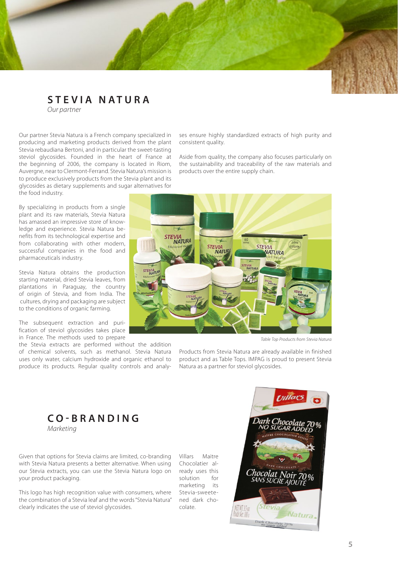### **STEVIA NATURA**

*Our partner*

Our partner Stevia Natura is a French company specialized in producing and marketing products derived from the plant Stevia rebaudiana Bertoni, and in particular the sweet-tasting steviol glycosides. Founded in the heart of France at the beginning of 2006, the company is located in Riom, Auvergne, near to Clermont-Ferrand. Stevia Natura's mission is to produce exclusively products from the Stevia plant and its glycosides as dietary supplements and sugar alternatives for the food industry.

By specializing in products from a single plant and its raw materials, Stevia Natura has amassed an impressive store of knowledge and experience. Stevia Natura benefits from its technological expertise and from collaborating with other modern, successful companies in the food and pharmaceuticals industry.

Stevia Natura obtains the production starting material, dried Stevia leaves, from plantations in Paraguay, the country of origin of Stevia, and from India. The cultures, drying and packaging are subject to the conditions of organic farming.

The subsequent extraction and purification of steviol glycosides takes place in France. The methods used to prepare

the Stevia extracts are performed without the addition of chemical solvents, such as methanol. Stevia Natura uses only water, calcium hydroxide and organic ethanol to produce its products. Regular quality controls and analyses ensure highly standardized extracts of high purity and consistent quality.

Aside from quality, the company also focuses particularly on the sustainability and traceability of the raw materials and products over the entire supply chain.



*Table Top Products from Stevia Natura*

Products from Stevia Natura are already available in finished product and as Table Tops. IMPAG is proud to present Stevia Natura as a partner for steviol glycosides.

**CO-BRANDING** *Marketing*

Given that options for Stevia claims are limited, co-branding with Stevia Natura presents a better alternative. When using our Stevia extracts, you can use the Stevia Natura logo on your product packaging.

This logo has high recognition value with consumers, where the combination of a Stevia leaf and the words "Stevia Natura" clearly indicates the use of steviol glycosides.

Villars Maitre Chocolatier already uses this solution for marketing its Stevia-sweetened dark chocolate.

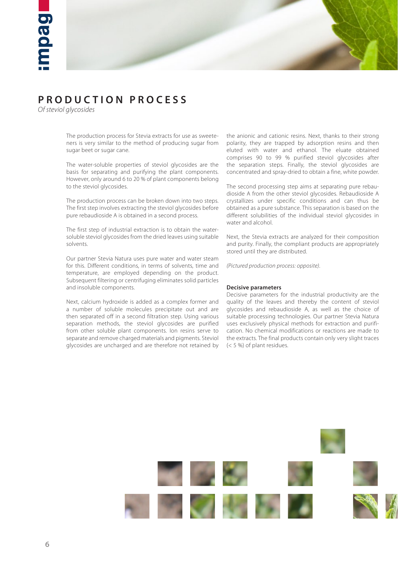

### **PRODUCTION PROCESS**

*Of steviol glycosides*

The production process for Stevia extracts for use as sweeteners is very similar to the method of producing sugar from sugar beet or sugar cane.

The water-soluble properties of steviol glycosides are the basis for separating and purifying the plant components. However, only around 6 to 20 % of plant components belong to the steviol glycosides.

The production process can be broken down into two steps. The first step involves extracting the steviol glycosides before pure rebaudioside A is obtained in a second process.

The first step of industrial extraction is to obtain the watersoluble steviol glycosides from the dried leaves using suitable solvents.

Our partner Stevia Natura uses pure water and water steam for this. Different conditions, in terms of solvents, time and temperature, are employed depending on the product. Subsequent filtering or centrifuging eliminates solid particles and insoluble components.

Next, calcium hydroxide is added as a complex former and a number of soluble molecules precipitate out and are then separated off in a second filtration step. Using various separation methods, the steviol glycosides are purified from other soluble plant components. Ion resins serve to separate and remove charged materials and pigments. Steviol glycosides are uncharged and are therefore not retained by

the anionic and cationic resins. Next, thanks to their strong polarity, they are trapped by adsorption resins and then eluted with water and ethanol. The eluate obtained comprises 90 to 99 % purified steviol glycosides after the separation steps. Finally, the steviol glycosides are concentrated and spray-dried to obtain a fine, white powder.

The second processing step aims at separating pure rebaudioside A from the other steviol glycosides. Rebaudioside A crystallizes under specific conditions and can thus be obtained as a pure substance. This separation is based on the different solubilities of the individual steviol glycosides in water and alcohol.

Next, the Stevia extracts are analyzed for their composition and purity. Finally, the compliant products are appropriately stored until they are distributed.

*(Pictured production process: opposite).*

#### **Decisive parameters**

Decisive parameters for the industrial productivity are the quality of the leaves and thereby the content of steviol glycosides and rebaudioside A, as well as the choice of suitable processing technologies. Our partner Stevia Natura uses exclusively physical methods for extraction and purification. No chemical modifications or reactions are made to the extracts. The final products contain only very slight traces (< 5 %) of plant residues.

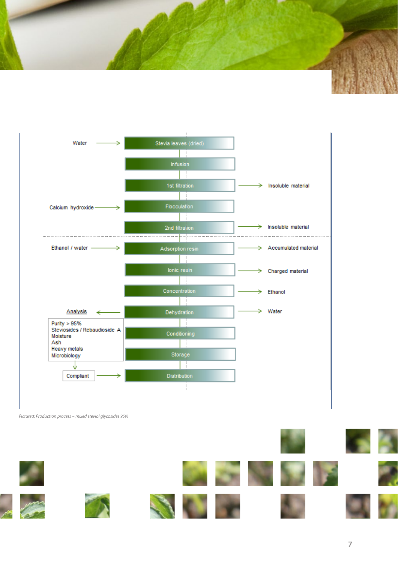



*Pictured: Production process – mixed steviol glycosides 95%*